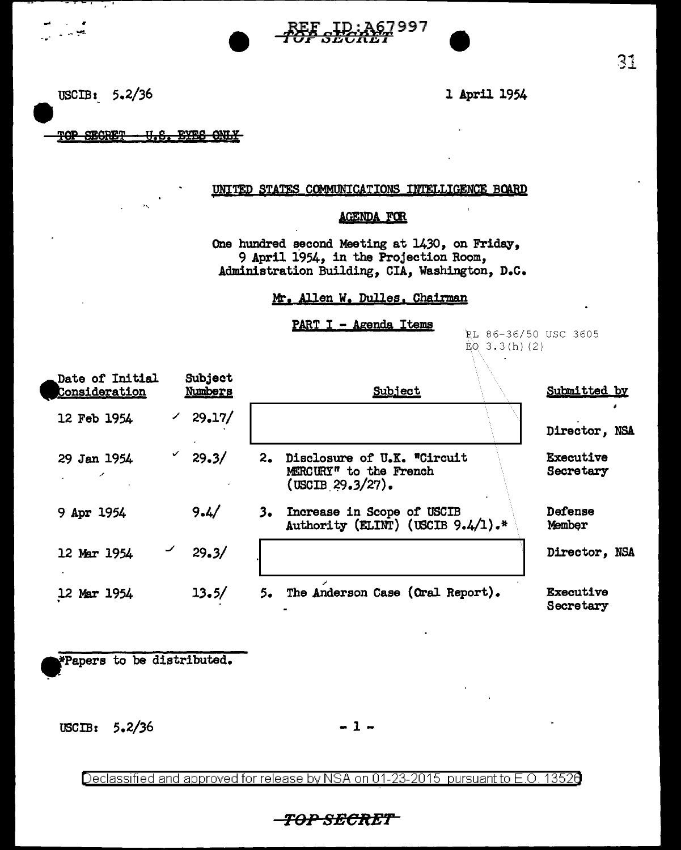

USCIB:  $5.2/36$  l April 1954

,... . r .  $\sim$   $\sim$   $\sim$ 

TOP SECRET - U.S. EYES ONLY

## UNITED STATES COMMUNICATIONS INTELLIGENCE BOARD

## **AGENDA FOR**

One hundred second Meeting at 1430, on Friday, 9 April 1954, in the Projection Room, Administration Building, CIA, Washington, D.C.

## Mr. Allen W. Dulles. Chairman

PART I - Agenda Items

PL 86-36/50 USC 3605  $EQ$  3.3(h)(2)

| Subject<br>Date of Initial<br>Consideration<br>Numbers |            |        | Subject                                                                   | Submitted by           |  |
|--------------------------------------------------------|------------|--------|---------------------------------------------------------------------------|------------------------|--|
| 12 Feb 1954                                            |            | 29.17/ |                                                                           | Director, NSA          |  |
| 29 Jan 1954                                            | ✓<br>29.3/ | 2.     | Disclosure of U.K. "Circuit<br>MERCURY" to the French<br>(USCIB 29.3/27). | Executive<br>Secretary |  |
| 9 Apr 1954                                             | 9.4/       | 3.     | Increase in Scope of USCIB<br>Authority (ELINT) (USCIB $9.4/1$ ).*        | Defense<br>Member      |  |
| 12 Mar 1954                                            | 29.3/      |        |                                                                           | Director, NSA          |  |
| 12 Mar 1954                                            | 13.5/      | 5.     | The Anderson Case (Oral Report).                                          | Executive<br>Secretary |  |

\*Papers to be distributed.

 $USCIB: 5.2/36 - 1 -$ 

Declassified and approved for release by NSA on 01-23-2015 pursuant to E.O. 13526

## *TD-P* seclt8r